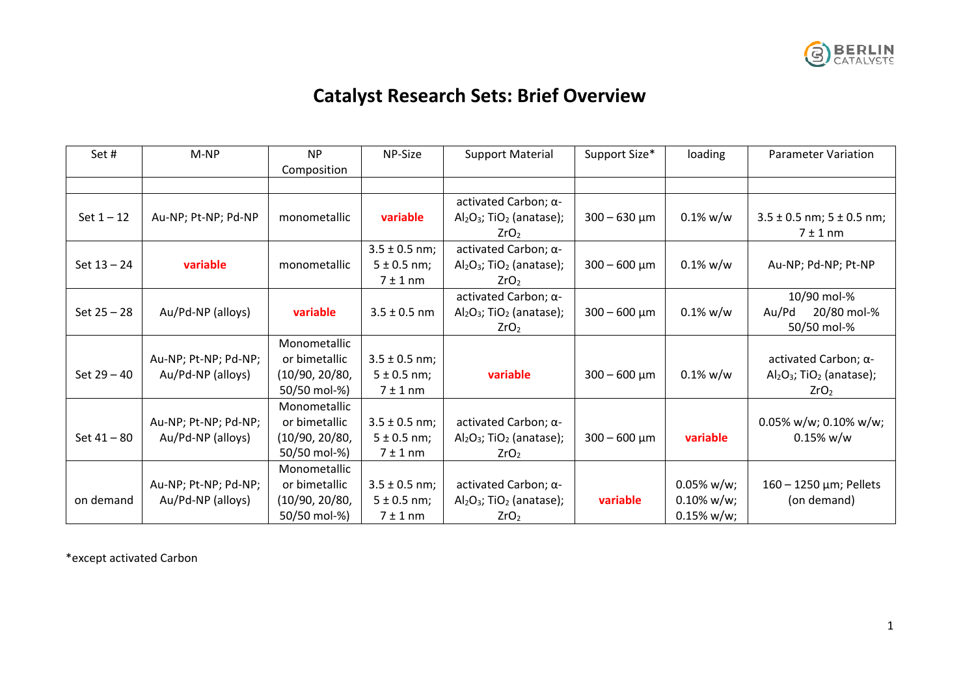

## **Catalyst Research Sets: Brief Overview**

| Set#          | M-NP                 | <b>NP</b>      | NP-Size           | <b>Support Material</b>                 | Support Size*     | loading       | <b>Parameter Variation</b>              |
|---------------|----------------------|----------------|-------------------|-----------------------------------------|-------------------|---------------|-----------------------------------------|
|               |                      | Composition    |                   |                                         |                   |               |                                         |
|               |                      |                |                   |                                         |                   |               |                                         |
|               |                      |                |                   | activated Carbon; α-                    |                   |               |                                         |
| Set $1 - 12$  | Au-NP; Pt-NP; Pd-NP  | monometallic   | variable          | $Al_2O_3$ ; TiO <sub>2</sub> (anatase); | $300 - 630 \mu m$ | $0.1\%$ w/w   | $3.5 \pm 0.5$ nm; $5 \pm 0.5$ nm;       |
|               |                      |                |                   | ZrO <sub>2</sub>                        |                   |               | 7 ± 1 nm                                |
|               |                      |                | $3.5 \pm 0.5$ nm; | activated Carbon; α-                    |                   |               |                                         |
| Set $13 - 24$ | variable             | monometallic   | $5 \pm 0.5$ nm;   | $Al_2O_3$ ; TiO <sub>2</sub> (anatase); | $300 - 600 \mu m$ | $0.1\%$ w/w   | Au-NP; Pd-NP; Pt-NP                     |
|               |                      |                | 7 ± 1 nm          | ZrO <sub>2</sub>                        |                   |               |                                         |
|               |                      |                |                   | activated Carbon; α-                    |                   |               | 10/90 mol-%                             |
| Set $25 - 28$ | Au/Pd-NP (alloys)    | variable       | $3.5 \pm 0.5$ nm  | $Al_2O_3$ ; TiO <sub>2</sub> (anatase); | $300 - 600 \mu m$ | $0.1\%$ w/w   | 20/80 mol-%<br>Au/Pd                    |
|               |                      |                |                   | ZrO <sub>2</sub>                        |                   |               | 50/50 mol-%                             |
|               |                      | Monometallic   |                   |                                         |                   |               |                                         |
|               | Au-NP; Pt-NP; Pd-NP; | or bimetallic  | $3.5 \pm 0.5$ nm; |                                         |                   |               | activated Carbon; α-                    |
| Set $29 - 40$ | Au/Pd-NP (alloys)    | (10/90, 20/80, | $5 \pm 0.5$ nm;   | variable                                | $300 - 600 \mu m$ | $0.1\%$ w/w   | $Al_2O_3$ ; TiO <sub>2</sub> (anatase); |
|               |                      | 50/50 mol-%)   | 7 ± 1 nm          |                                         |                   |               | ZrO <sub>2</sub>                        |
|               |                      | Monometallic   |                   |                                         |                   |               |                                         |
|               | Au-NP; Pt-NP; Pd-NP; | or bimetallic  | $3.5 \pm 0.5$ nm; | activated Carbon; $\alpha$ -            |                   |               | $0.05\%$ w/w; 0.10% w/w;                |
| Set 41 - 80   | Au/Pd-NP (alloys)    | (10/90, 20/80, | $5 \pm 0.5$ nm;   | $Al_2O_3$ ; TiO <sub>2</sub> (anatase); | $300 - 600 \mu m$ | variable      | $0.15\%$ w/w                            |
|               |                      | 50/50 mol-%)   | 7 ± 1 nm          | ZrO <sub>2</sub>                        |                   |               |                                         |
|               |                      | Monometallic   |                   |                                         |                   |               |                                         |
|               | Au-NP; Pt-NP; Pd-NP; | or bimetallic  | $3.5 \pm 0.5$ nm; | activated Carbon; α-                    |                   | $0.05\%$ w/w; | 160 - 1250 μm; Pellets                  |
| on demand     | Au/Pd-NP (alloys)    | (10/90, 20/80, | $5 \pm 0.5$ nm;   | $Al_2O_3$ ; TiO <sub>2</sub> (anatase); | variable          | $0.10\%$ w/w; | (on demand)                             |
|               |                      | 50/50 mol-%)   | 7 ± 1 nm          | ZrO <sub>2</sub>                        |                   | $0.15\%$ w/w; |                                         |

\*except activated Carbon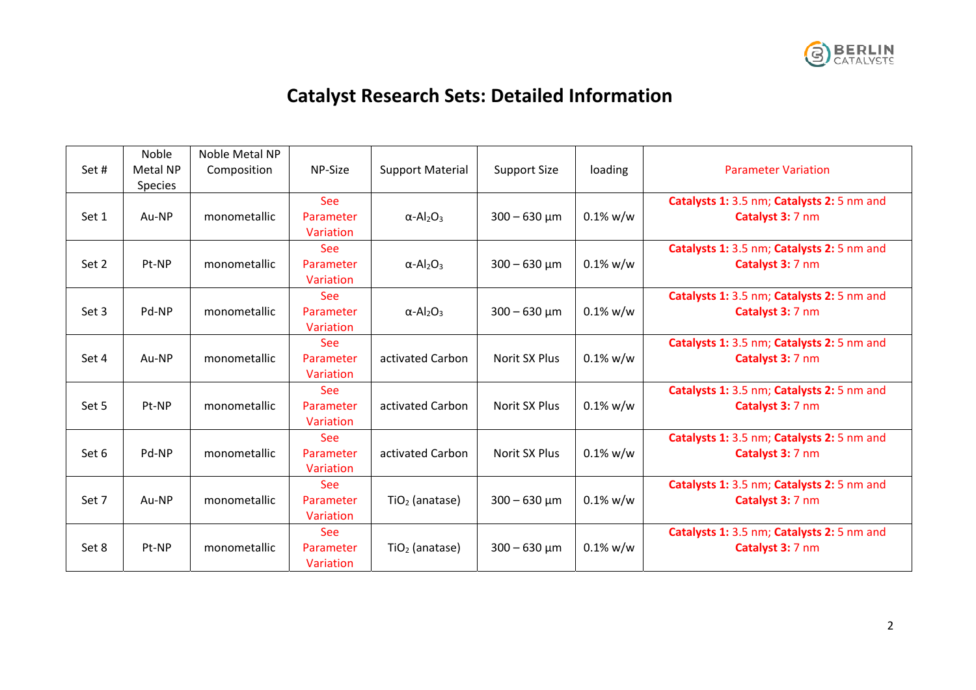

## **Catalyst Research Sets: Detailed Information**

|       | Noble    | Noble Metal NP |            |                                          |                     |             |                                            |
|-------|----------|----------------|------------|------------------------------------------|---------------------|-------------|--------------------------------------------|
| Set#  | Metal NP | Composition    | NP-Size    | <b>Support Material</b>                  | <b>Support Size</b> | loading     | <b>Parameter Variation</b>                 |
|       |          |                |            |                                          |                     |             |                                            |
|       | Species  |                |            |                                          |                     |             |                                            |
|       |          |                | See        |                                          |                     |             | Catalysts 1: 3.5 nm; Catalysts 2: 5 nm and |
| Set 1 | Au-NP    | monometallic   | Parameter  | $\alpha$ -Al <sub>2</sub> O <sub>3</sub> | $300 - 630 \mu m$   | $0.1\%$ w/w | Catalyst 3: 7 nm                           |
|       |          |                | Variation  |                                          |                     |             |                                            |
|       |          |                | <b>See</b> |                                          |                     |             | Catalysts 1: 3.5 nm; Catalysts 2: 5 nm and |
| Set 2 | Pt-NP    | monometallic   | Parameter  | $\alpha$ -Al <sub>2</sub> O <sub>3</sub> | $300 - 630 \mu m$   | $0.1\%$ w/w | Catalyst 3: 7 nm                           |
|       |          |                | Variation  |                                          |                     |             |                                            |
|       |          |                | See        |                                          |                     |             | Catalysts 1: 3.5 nm; Catalysts 2: 5 nm and |
| Set 3 | Pd-NP    | monometallic   | Parameter  | $\alpha$ -Al <sub>2</sub> O <sub>3</sub> | $300 - 630 \mu m$   | $0.1\%$ w/w | Catalyst 3: 7 nm                           |
|       |          |                | Variation  |                                          |                     |             |                                            |
|       |          |                | <b>See</b> |                                          |                     |             | Catalysts 1: 3.5 nm; Catalysts 2: 5 nm and |
| Set 4 | Au-NP    | monometallic   | Parameter  | activated Carbon                         | Norit SX Plus       | $0.1\%$ w/w | Catalyst 3: 7 nm                           |
|       |          |                | Variation  |                                          |                     |             |                                            |
|       |          |                | <b>See</b> |                                          |                     |             | Catalysts 1: 3.5 nm; Catalysts 2: 5 nm and |
| Set 5 | Pt-NP    | monometallic   | Parameter  | activated Carbon                         | Norit SX Plus       | $0.1\%$ w/w | Catalyst 3: 7 nm                           |
|       |          |                | Variation  |                                          |                     |             |                                            |
|       |          |                | <b>See</b> |                                          |                     |             | Catalysts 1: 3.5 nm; Catalysts 2: 5 nm and |
|       | Pd-NP    |                | Parameter  | activated Carbon                         | Norit SX Plus       | $0.1\%$ w/w |                                            |
| Set 6 |          | monometallic   |            |                                          |                     |             | Catalyst 3: 7 nm                           |
|       |          |                | Variation  |                                          |                     |             |                                            |
|       |          |                | See        |                                          |                     |             | Catalysts 1: 3.5 nm; Catalysts 2: 5 nm and |
| Set 7 | Au-NP    | monometallic   | Parameter  | TiO <sub>2</sub> (anatase)               | $300 - 630 \mu m$   | $0.1\%$ w/w | Catalyst 3: 7 nm                           |
|       |          |                | Variation  |                                          |                     |             |                                            |
|       |          |                | <b>See</b> |                                          |                     |             | Catalysts 1: 3.5 nm; Catalysts 2: 5 nm and |
| Set 8 | Pt-NP    | monometallic   | Parameter  | $TiO2$ (anatase)                         | $300 - 630 \mu m$   | $0.1\%$ w/w | Catalyst 3: 7 nm                           |
|       |          |                | Variation  |                                          |                     |             |                                            |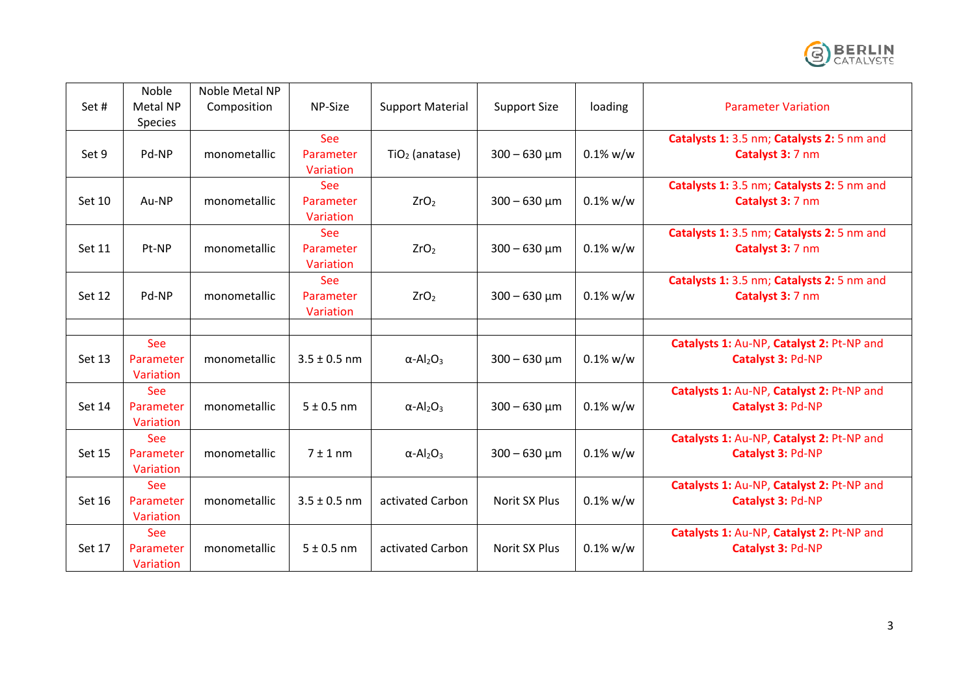

| Set#          | <b>Noble</b><br>Metal NP<br>Species  | Noble Metal NP<br>Composition | NP-Size                              | <b>Support Material</b>                  | <b>Support Size</b> | loading     | <b>Parameter Variation</b>                                     |
|---------------|--------------------------------------|-------------------------------|--------------------------------------|------------------------------------------|---------------------|-------------|----------------------------------------------------------------|
| Set 9         | Pd-NP                                | monometallic                  | <b>See</b><br>Parameter<br>Variation | $TiO2$ (anatase)                         | $300 - 630 \mu m$   | $0.1\%$ w/w | Catalysts 1: 3.5 nm; Catalysts 2: 5 nm and<br>Catalyst 3: 7 nm |
| Set 10        | Au-NP                                | monometallic                  | See<br>Parameter<br>Variation        | ZrO <sub>2</sub>                         | $300 - 630 \mu m$   | $0.1\%$ w/w | Catalysts 1: 3.5 nm; Catalysts 2: 5 nm and<br>Catalyst 3: 7 nm |
| Set 11        | Pt-NP                                | monometallic                  | See<br>Parameter<br>Variation        | ZrO <sub>2</sub>                         | $300 - 630 \mu m$   | $0.1\%$ w/w | Catalysts 1: 3.5 nm; Catalysts 2: 5 nm and<br>Catalyst 3: 7 nm |
| <b>Set 12</b> | Pd-NP                                | monometallic                  | <b>See</b><br>Parameter<br>Variation | ZrO <sub>2</sub>                         | $300 - 630 \mu m$   | $0.1\%$ w/w | Catalysts 1: 3.5 nm; Catalysts 2: 5 nm and<br>Catalyst 3: 7 nm |
|               |                                      |                               |                                      |                                          |                     |             |                                                                |
| Set 13        | See<br>Parameter<br>Variation        | monometallic                  | $3.5 \pm 0.5$ nm                     | $\alpha$ -Al <sub>2</sub> O <sub>3</sub> | $300 - 630 \mu m$   | $0.1\%$ w/w | Catalysts 1: Au-NP, Catalyst 2: Pt-NP and<br>Catalyst 3: Pd-NP |
| Set 14        | <b>See</b><br>Parameter<br>Variation | monometallic                  | $5 \pm 0.5$ nm                       | $\alpha$ -Al <sub>2</sub> O <sub>3</sub> | $300 - 630 \mu m$   | $0.1\%$ w/w | Catalysts 1: Au-NP, Catalyst 2: Pt-NP and<br>Catalyst 3: Pd-NP |
| <b>Set 15</b> | <b>See</b><br>Parameter<br>Variation | monometallic                  | 7 ± 1 nm                             | $\alpha$ -Al <sub>2</sub> O <sub>3</sub> | $300 - 630 \mu m$   | $0.1\%$ w/w | Catalysts 1: Au-NP, Catalyst 2: Pt-NP and<br>Catalyst 3: Pd-NP |
| Set 16        | See<br>Parameter<br>Variation        | monometallic                  | $3.5 \pm 0.5$ nm                     | activated Carbon                         | Norit SX Plus       | $0.1\%$ w/w | Catalysts 1: Au-NP, Catalyst 2: Pt-NP and<br>Catalyst 3: Pd-NP |
| Set 17        | See<br>Parameter<br>Variation        | monometallic                  | $5 \pm 0.5$ nm                       | activated Carbon                         | Norit SX Plus       | $0.1\%$ w/w | Catalysts 1: Au-NP, Catalyst 2: Pt-NP and<br>Catalyst 3: Pd-NP |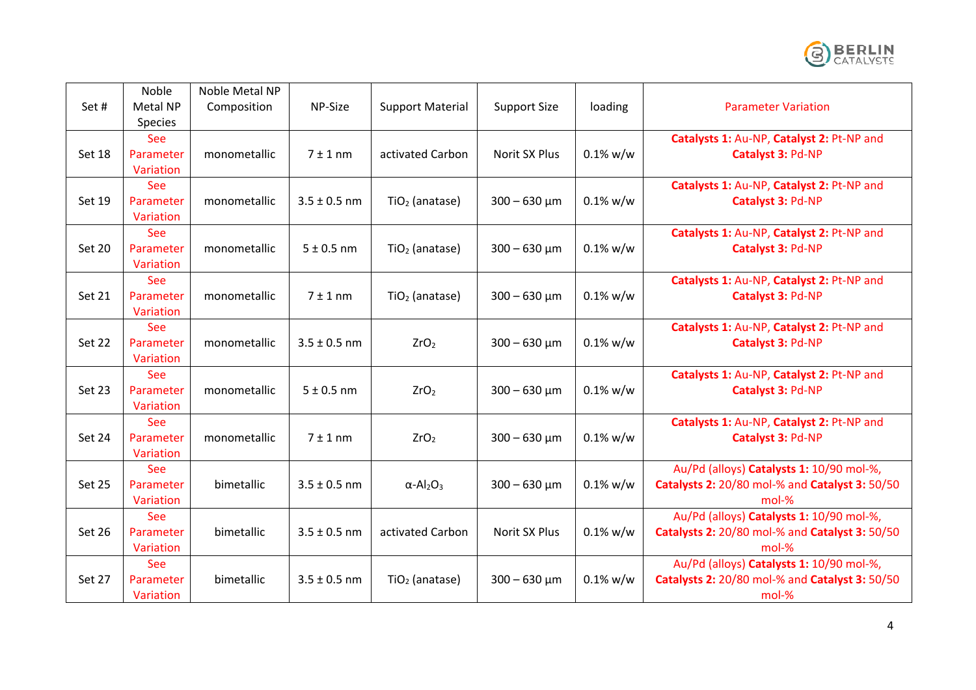

| Set#          | Noble<br>Metal NP<br>Species         | Noble Metal NP<br>Composition | NP-Size          | <b>Support Material</b>                  | <b>Support Size</b>  | loading     | <b>Parameter Variation</b>                                                                          |
|---------------|--------------------------------------|-------------------------------|------------------|------------------------------------------|----------------------|-------------|-----------------------------------------------------------------------------------------------------|
| Set 18        | <b>See</b><br>Parameter<br>Variation | monometallic                  | 7 ± 1 nm         | activated Carbon                         | Norit SX Plus        | $0.1\%$ w/w | Catalysts 1: Au-NP, Catalyst 2: Pt-NP and<br>Catalyst 3: Pd-NP                                      |
| Set 19        | See<br>Parameter<br>Variation        | monometallic                  | $3.5 \pm 0.5$ nm | $TiO2$ (anatase)                         | $300 - 630 \mu m$    | $0.1\%$ w/w | Catalysts 1: Au-NP, Catalyst 2: Pt-NP and<br>Catalyst 3: Pd-NP                                      |
| Set 20        | See<br>Parameter<br>Variation        | monometallic                  | $5 \pm 0.5$ nm   | $TiO2$ (anatase)                         | $300 - 630 \mu m$    | $0.1\%$ w/w | Catalysts 1: Au-NP, Catalyst 2: Pt-NP and<br>Catalyst 3: Pd-NP                                      |
| Set 21        | <b>See</b><br>Parameter<br>Variation | monometallic                  | $7 \pm 1$ nm     | $TiO2$ (anatase)                         | $300 - 630 \mu m$    | $0.1\%$ w/w | Catalysts 1: Au-NP, Catalyst 2: Pt-NP and<br>Catalyst 3: Pd-NP                                      |
| Set 22        | See<br>Parameter<br>Variation        | monometallic                  | $3.5 \pm 0.5$ nm | ZrO <sub>2</sub>                         | $300 - 630 \mu m$    | $0.1\%$ w/w | Catalysts 1: Au-NP, Catalyst 2: Pt-NP and<br>Catalyst 3: Pd-NP                                      |
| Set 23        | <b>See</b><br>Parameter<br>Variation | monometallic                  | $5 \pm 0.5$ nm   | ZrO <sub>2</sub>                         | $300 - 630 \mu m$    | $0.1\%$ w/w | Catalysts 1: Au-NP, Catalyst 2: Pt-NP and<br>Catalyst 3: Pd-NP                                      |
| Set 24        | See<br>Parameter<br>Variation        | monometallic                  | 7 ± 1 nm         | ZrO <sub>2</sub>                         | $300 - 630 \mu m$    | $0.1\%$ w/w | Catalysts 1: Au-NP, Catalyst 2: Pt-NP and<br>Catalyst 3: Pd-NP                                      |
| Set 25        | See<br>Parameter<br>Variation        | bimetallic                    | $3.5 \pm 0.5$ nm | $\alpha$ -Al <sub>2</sub> O <sub>3</sub> | $300 - 630 \mu m$    | $0.1\%$ w/w | Au/Pd (alloys) Catalysts 1: 10/90 mol-%,<br>Catalysts 2: 20/80 mol-% and Catalyst 3: 50/50<br>mol-% |
| <b>Set 26</b> | <b>See</b><br>Parameter<br>Variation | bimetallic                    | $3.5 \pm 0.5$ nm | activated Carbon                         | <b>Norit SX Plus</b> | $0.1\%$ w/w | Au/Pd (alloys) Catalysts 1: 10/90 mol-%,<br>Catalysts 2: 20/80 mol-% and Catalyst 3: 50/50<br>mol-% |
| Set 27        | See<br>Parameter<br>Variation        | bimetallic                    | $3.5 \pm 0.5$ nm | $TiO2$ (anatase)                         | $300 - 630$ µm       | $0.1\%$ w/w | Au/Pd (alloys) Catalysts 1: 10/90 mol-%,<br>Catalysts 2: 20/80 mol-% and Catalyst 3: 50/50<br>mol-% |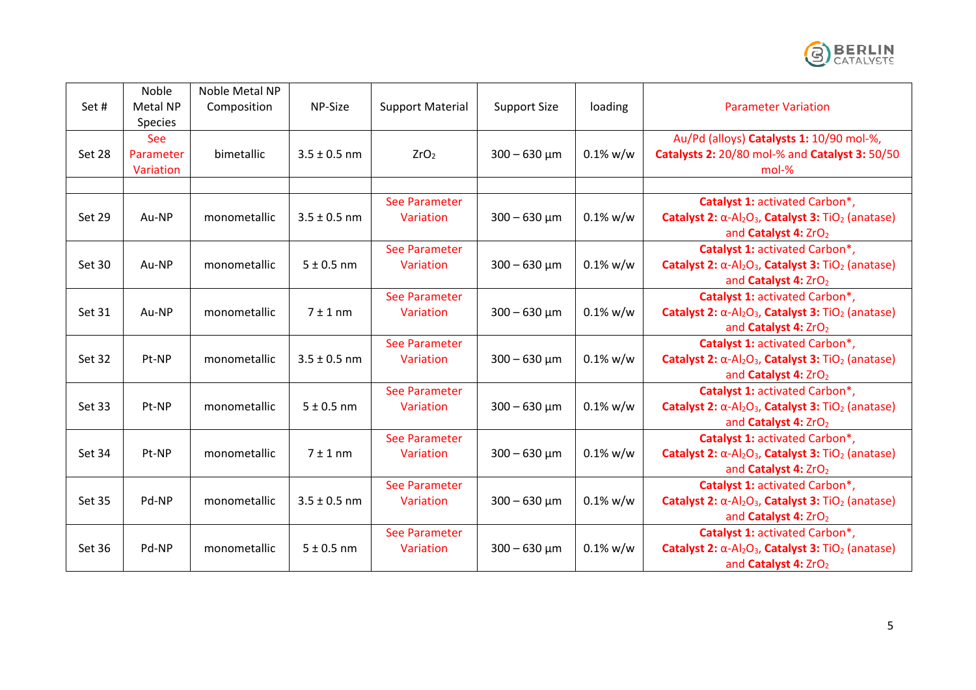

| Set#          | Noble<br>Metal NP<br>Species  | Noble Metal NP<br>Composition | NP-Size          | <b>Support Material</b>    | <b>Support Size</b> | loading     | <b>Parameter Variation</b>                                                                                                                                          |
|---------------|-------------------------------|-------------------------------|------------------|----------------------------|---------------------|-------------|---------------------------------------------------------------------------------------------------------------------------------------------------------------------|
| Set 28        | See<br>Parameter<br>Variation | bimetallic                    | $3.5 \pm 0.5$ nm | ZrO <sub>2</sub>           | $300 - 630 \mu m$   | $0.1\%$ w/w | Au/Pd (alloys) Catalysts 1: 10/90 mol-%,<br><b>Catalysts 2: 20/80 mol-% and Catalyst 3: 50/50</b><br>mol-%                                                          |
|               |                               |                               |                  |                            |                     |             |                                                                                                                                                                     |
| Set 29        | Au-NP                         | monometallic                  | $3.5 \pm 0.5$ nm | See Parameter<br>Variation | $300 - 630 \mu m$   | $0.1\%$ w/w | Catalyst 1: activated Carbon*,<br>Catalyst 2: $\alpha$ -Al <sub>2</sub> O <sub>3</sub> , Catalyst 3: TiO <sub>2</sub> (anatase)<br>and Catalyst 4: ZrO2             |
| Set 30        | Au-NP                         | monometallic                  | $5 \pm 0.5$ nm   | See Parameter<br>Variation | $300 - 630 \mu m$   | $0.1\%$ w/w | Catalyst 1: activated Carbon*,<br>Catalyst 2: $\alpha$ -Al <sub>2</sub> O <sub>3</sub> , Catalyst 3: TiO <sub>2</sub> (anatase)<br>and Catalyst 4: ZrO2             |
| Set 31        | Au-NP                         | monometallic                  | 7 ± 1 nm         | See Parameter<br>Variation | $300 - 630 \mu m$   | $0.1\%$ w/w | Catalyst 1: activated Carbon*,<br>Catalyst 2: $\alpha$ -Al <sub>2</sub> O <sub>3</sub> , Catalyst 3: TiO <sub>2</sub> (anatase)<br>and Catalyst 4: ZrO2             |
| Set 32        | Pt-NP                         | monometallic                  | $3.5 \pm 0.5$ nm | See Parameter<br>Variation | $300 - 630 \mu m$   | $0.1\%$ w/w | Catalyst 1: activated Carbon*,<br>Catalyst 2: $\alpha$ -Al <sub>2</sub> O <sub>3</sub> , Catalyst 3: TiO <sub>2</sub> (anatase)<br>and Catalyst 4: ZrO <sub>2</sub> |
| Set 33        | Pt-NP                         | monometallic                  | $5 \pm 0.5$ nm   | See Parameter<br>Variation | $300 - 630 \mu m$   | $0.1\%$ w/w | Catalyst 1: activated Carbon*,<br>Catalyst 2: $\alpha$ -Al <sub>2</sub> O <sub>3</sub> , Catalyst 3: TiO <sub>2</sub> (anatase)<br>and Catalyst 4: ZrO <sub>2</sub> |
| Set 34        | Pt-NP                         | monometallic                  | $7±1$ nm         | See Parameter<br>Variation | $300 - 630 \mu m$   | $0.1\%$ w/w | Catalyst 1: activated Carbon*,<br>Catalyst 2: $\alpha$ -Al <sub>2</sub> O <sub>3</sub> , Catalyst 3: TiO <sub>2</sub> (anatase)<br>and Catalyst 4: ZrO2             |
| <b>Set 35</b> | Pd-NP                         | monometallic                  | $3.5 \pm 0.5$ nm | See Parameter<br>Variation | $300 - 630 \mu m$   | $0.1\%$ w/w | Catalyst 1: activated Carbon*,<br>Catalyst 2: $\alpha$ -Al <sub>2</sub> O <sub>3</sub> , Catalyst 3: TiO <sub>2</sub> (anatase)<br>and Catalyst 4: ZrO <sub>2</sub> |
| Set 36        | Pd-NP                         | monometallic                  | $5 \pm 0.5$ nm   | See Parameter<br>Variation | $300 - 630 \mu m$   | $0.1\%$ w/w | Catalyst 1: activated Carbon*,<br>Catalyst 2: $\alpha$ -Al <sub>2</sub> O <sub>3</sub> , Catalyst 3: TiO <sub>2</sub> (anatase)<br>and Catalyst 4: ZrO2             |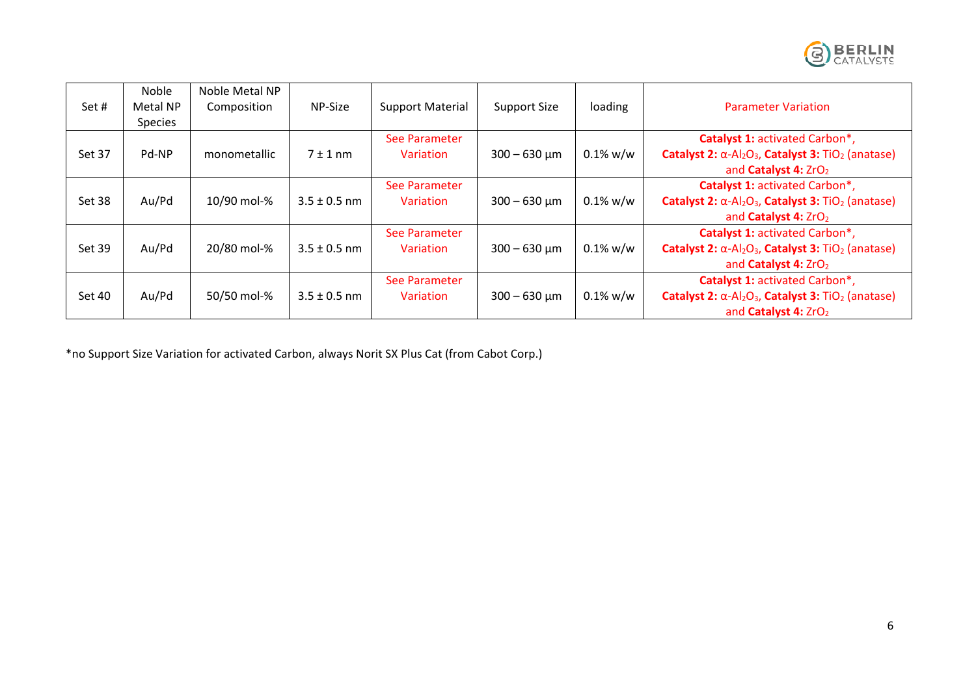

| Set#   | Noble<br>Metal NP<br><b>Species</b> | Noble Metal NP<br>Composition | NP-Size          | <b>Support Material</b>    | <b>Support Size</b> | loading     | <b>Parameter Variation</b>                                                                                                                                          |
|--------|-------------------------------------|-------------------------------|------------------|----------------------------|---------------------|-------------|---------------------------------------------------------------------------------------------------------------------------------------------------------------------|
| Set 37 | Pd-NP                               | monometallic                  | $7 \pm 1$ nm     | See Parameter<br>Variation | $300 - 630 \mu m$   | $0.1\%$ w/w | Catalyst 1: activated Carbon*,<br>Catalyst 2: $\alpha$ -Al <sub>2</sub> O <sub>3</sub> , Catalyst 3: TiO <sub>2</sub> (anatase)<br>and Catalyst 4: ZrO <sub>2</sub> |
| Set 38 | Au/Pd                               | 10/90 mol-%                   | $3.5 \pm 0.5$ nm | See Parameter<br>Variation | $300 - 630 \mu m$   | $0.1\%$ w/w | Catalyst 1: activated Carbon*,<br>Catalyst 2: $\alpha$ -Al <sub>2</sub> O <sub>3</sub> , Catalyst 3: TiO <sub>2</sub> (anatase)<br>and Catalyst 4: ZrO <sub>2</sub> |
| Set 39 | Au/Pd                               | 20/80 mol-%                   | $3.5 \pm 0.5$ nm | See Parameter<br>Variation | $300 - 630 \mu m$   | $0.1\%$ w/w | Catalyst 1: activated Carbon*,<br>Catalyst 2: $\alpha$ -Al <sub>2</sub> O <sub>3</sub> , Catalyst 3: TiO <sub>2</sub> (anatase)<br>and Catalyst 4: ZrO <sub>2</sub> |
| Set 40 | Au/Pd                               | 50/50 mol-%                   | $3.5 \pm 0.5$ nm | See Parameter<br>Variation | $300 - 630 \mu m$   | $0.1\%$ w/w | Catalyst 1: activated Carbon*,<br>Catalyst 2: $\alpha$ -Al <sub>2</sub> O <sub>3</sub> , Catalyst 3: TiO <sub>2</sub> (anatase)<br>and Catalyst 4: ZrO <sub>2</sub> |

\*no Support Size Variation for activated Carbon, always Norit SX Plus Cat (from Cabot Corp.)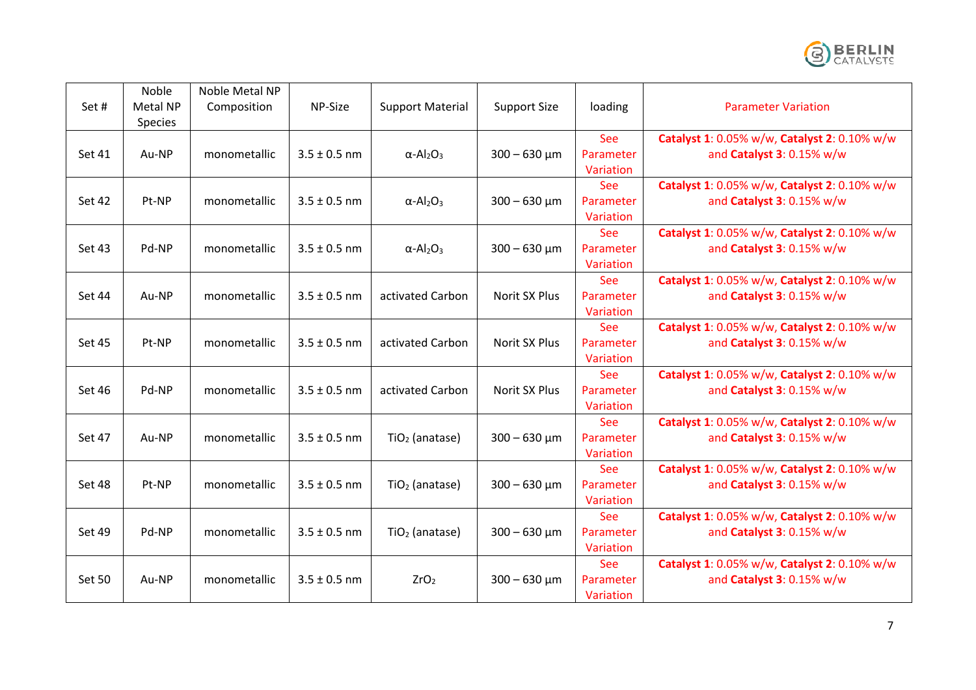

| Set#          | Noble<br>Metal NP<br>Species | Noble Metal NP<br>Composition | NP-Size          | <b>Support Material</b>                  | <b>Support Size</b> | loading                              | <b>Parameter Variation</b>                                                |
|---------------|------------------------------|-------------------------------|------------------|------------------------------------------|---------------------|--------------------------------------|---------------------------------------------------------------------------|
| Set 41        | Au-NP                        | monometallic                  | $3.5 \pm 0.5$ nm | $\alpha$ -Al <sub>2</sub> O <sub>3</sub> | $300 - 630 \mu m$   | See<br>Parameter<br>Variation        | Catalyst 1: 0.05% w/w, Catalyst 2: 0.10% w/w<br>and Catalyst 3: 0.15% w/w |
| Set 42        | Pt-NP                        | monometallic                  | $3.5 \pm 0.5$ nm | $\alpha$ -Al <sub>2</sub> O <sub>3</sub> | $300 - 630 \mu m$   | See<br>Parameter<br>Variation        | Catalyst 1: 0.05% w/w, Catalyst 2: 0.10% w/w<br>and Catalyst 3: 0.15% w/w |
| Set 43        | Pd-NP                        | monometallic                  | $3.5 \pm 0.5$ nm | $\alpha$ -Al <sub>2</sub> O <sub>3</sub> | $300 - 630 \mu m$   | See<br>Parameter<br>Variation        | Catalyst 1: 0.05% w/w, Catalyst 2: 0.10% w/w<br>and Catalyst 3: 0.15% w/w |
| <b>Set 44</b> | Au-NP                        | monometallic                  | $3.5 \pm 0.5$ nm | activated Carbon                         | Norit SX Plus       | See<br>Parameter<br>Variation        | Catalyst 1: 0.05% w/w, Catalyst 2: 0.10% w/w<br>and Catalyst 3: 0.15% w/w |
| <b>Set 45</b> | Pt-NP                        | monometallic                  | $3.5 \pm 0.5$ nm | activated Carbon                         | Norit SX Plus       | See<br>Parameter<br>Variation        | Catalyst 1: 0.05% w/w, Catalyst 2: 0.10% w/w<br>and Catalyst 3: 0.15% w/w |
| <b>Set 46</b> | Pd-NP                        | monometallic                  | $3.5 \pm 0.5$ nm | activated Carbon                         | Norit SX Plus       | See<br>Parameter<br>Variation        | Catalyst 1: 0.05% w/w, Catalyst 2: 0.10% w/w<br>and Catalyst 3: 0.15% w/w |
| Set 47        | Au-NP                        | monometallic                  | $3.5 \pm 0.5$ nm | $TiO2$ (anatase)                         | $300 - 630 \mu m$   | <b>See</b><br>Parameter<br>Variation | Catalyst 1: 0.05% w/w, Catalyst 2: 0.10% w/w<br>and Catalyst 3: 0.15% w/w |
| Set 48        | Pt-NP                        | monometallic                  | $3.5 \pm 0.5$ nm | $TiO2$ (anatase)                         | $300 - 630 \mu m$   | See<br>Parameter<br>Variation        | Catalyst 1: 0.05% w/w, Catalyst 2: 0.10% w/w<br>and Catalyst 3: 0.15% w/w |
| <b>Set 49</b> | Pd-NP                        | monometallic                  | $3.5 \pm 0.5$ nm | $TiO2$ (anatase)                         | $300 - 630 \mu m$   | <b>See</b><br>Parameter<br>Variation | Catalyst 1: 0.05% w/w, Catalyst 2: 0.10% w/w<br>and Catalyst 3: 0.15% w/w |
| <b>Set 50</b> | Au-NP                        | monometallic                  | $3.5 \pm 0.5$ nm | ZrO <sub>2</sub>                         | $300 - 630 \mu m$   | See<br>Parameter<br>Variation        | Catalyst 1: 0.05% w/w, Catalyst 2: 0.10% w/w<br>and Catalyst 3: 0.15% w/w |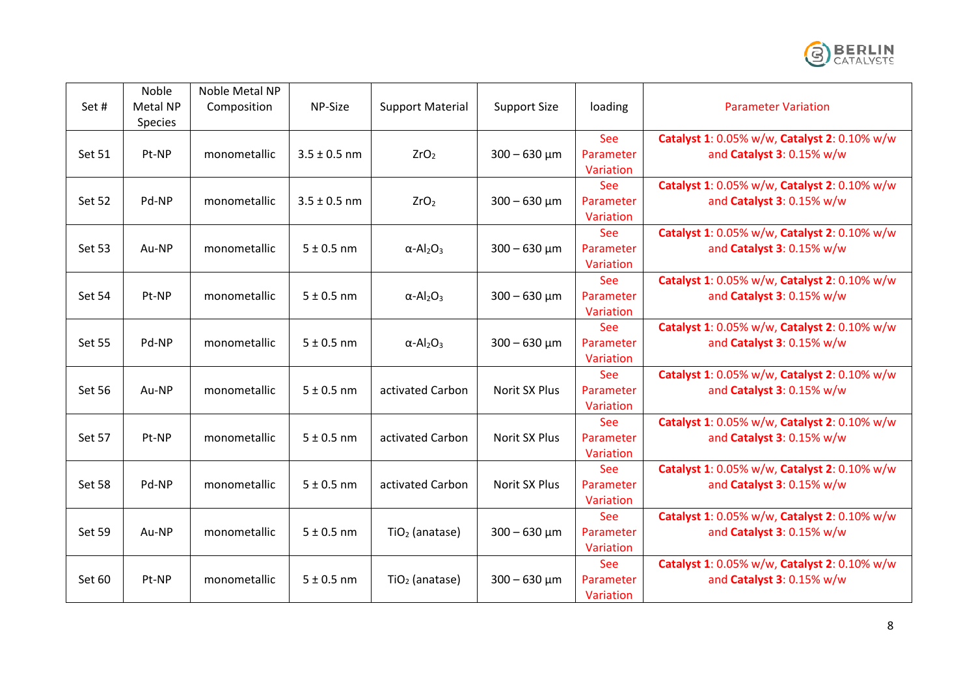

| Set#          | Noble<br>Metal NP<br>Species | Noble Metal NP<br>Composition | NP-Size          | <b>Support Material</b>                  | <b>Support Size</b> | loading                              | <b>Parameter Variation</b>                                                |
|---------------|------------------------------|-------------------------------|------------------|------------------------------------------|---------------------|--------------------------------------|---------------------------------------------------------------------------|
| <b>Set 51</b> | Pt-NP                        | monometallic                  | $3.5 \pm 0.5$ nm | ZrO <sub>2</sub>                         | $300 - 630 \mu m$   | See<br>Parameter<br>Variation        | Catalyst 1: 0.05% w/w, Catalyst 2: 0.10% w/w<br>and Catalyst 3: 0.15% w/w |
| Set 52        | Pd-NP                        | monometallic                  | $3.5 \pm 0.5$ nm | ZrO <sub>2</sub>                         | $300 - 630 \mu m$   | See<br>Parameter<br>Variation        | Catalyst 1: 0.05% w/w, Catalyst 2: 0.10% w/w<br>and Catalyst 3: 0.15% w/w |
| Set 53        | Au-NP                        | monometallic                  | $5 \pm 0.5$ nm   | $\alpha$ -Al <sub>2</sub> O <sub>3</sub> | $300 - 630 \mu m$   | See<br>Parameter<br>Variation        | Catalyst 1: 0.05% w/w, Catalyst 2: 0.10% w/w<br>and Catalyst 3: 0.15% w/w |
| <b>Set 54</b> | Pt-NP                        | monometallic                  | $5 \pm 0.5$ nm   | $\alpha$ -Al <sub>2</sub> O <sub>3</sub> | $300 - 630 \mu m$   | See<br>Parameter<br>Variation        | Catalyst 1: 0.05% w/w, Catalyst 2: 0.10% w/w<br>and Catalyst 3: 0.15% w/w |
| <b>Set 55</b> | Pd-NP                        | monometallic                  | $5 \pm 0.5$ nm   | $\alpha$ -Al <sub>2</sub> O <sub>3</sub> | $300 - 630 \mu m$   | See<br>Parameter<br>Variation        | Catalyst 1: 0.05% w/w, Catalyst 2: 0.10% w/w<br>and Catalyst 3: 0.15% w/w |
| <b>Set 56</b> | Au-NP                        | monometallic                  | $5 \pm 0.5$ nm   | activated Carbon                         | Norit SX Plus       | See<br>Parameter<br>Variation        | Catalyst 1: 0.05% w/w, Catalyst 2: 0.10% w/w<br>and Catalyst 3: 0.15% w/w |
| Set 57        | Pt-NP                        | monometallic                  | $5 \pm 0.5$ nm   | activated Carbon                         | Norit SX Plus       | <b>See</b><br>Parameter<br>Variation | Catalyst 1: 0.05% w/w, Catalyst 2: 0.10% w/w<br>and Catalyst 3: 0.15% w/w |
| Set 58        | Pd-NP                        | monometallic                  | $5 \pm 0.5$ nm   | activated Carbon                         | Norit SX Plus       | See<br>Parameter<br>Variation        | Catalyst 1: 0.05% w/w, Catalyst 2: 0.10% w/w<br>and Catalyst 3: 0.15% w/w |
| <b>Set 59</b> | Au-NP                        | monometallic                  | $5 \pm 0.5$ nm   | $TiO2$ (anatase)                         | $300 - 630 \mu m$   | <b>See</b><br>Parameter<br>Variation | Catalyst 1: 0.05% w/w, Catalyst 2: 0.10% w/w<br>and Catalyst 3: 0.15% w/w |
| Set 60        | Pt-NP                        | monometallic                  | $5 \pm 0.5$ nm   | $TiO2$ (anatase)                         | $300 - 630 \mu m$   | See<br>Parameter<br>Variation        | Catalyst 1: 0.05% w/w, Catalyst 2: 0.10% w/w<br>and Catalyst 3: 0.15% w/w |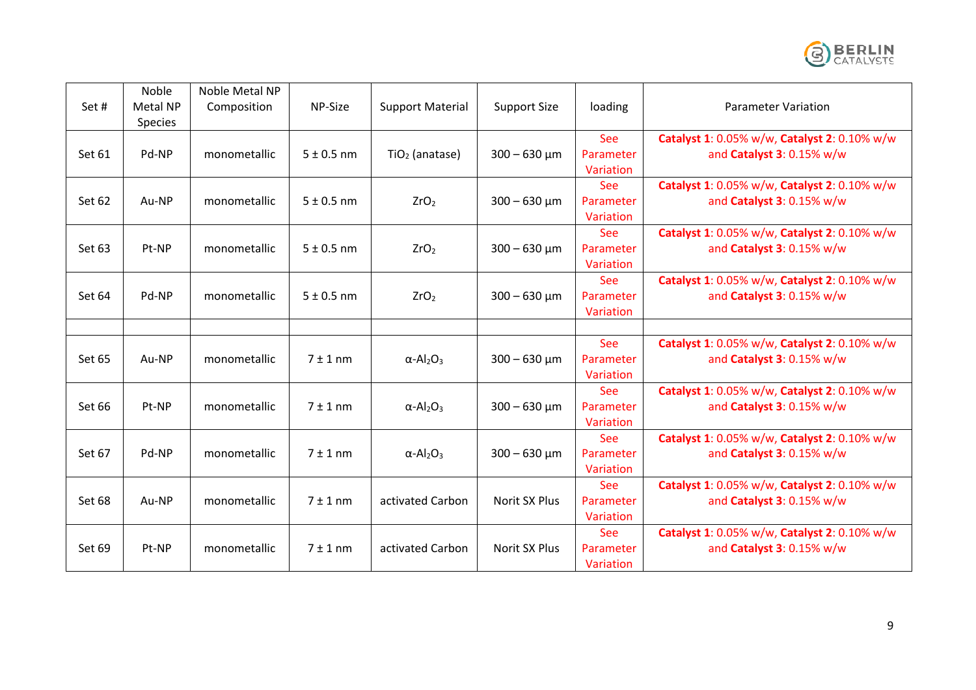

| Set#   | Noble<br>Metal NP<br>Species | Noble Metal NP<br>Composition | NP-Size        | <b>Support Material</b>                  | <b>Support Size</b> | loading                              | Parameter Variation                                                       |
|--------|------------------------------|-------------------------------|----------------|------------------------------------------|---------------------|--------------------------------------|---------------------------------------------------------------------------|
| Set 61 | Pd-NP                        | monometallic                  | $5 \pm 0.5$ nm | $TiO2$ (anatase)                         | $300 - 630 \mu m$   | See<br>Parameter<br>Variation        | Catalyst 1: 0.05% w/w, Catalyst 2: 0.10% w/w<br>and Catalyst 3: 0.15% w/w |
| Set 62 | Au-NP                        | monometallic                  | $5 \pm 0.5$ nm | ZrO <sub>2</sub>                         | $300 - 630 \mu m$   | See<br>Parameter<br>Variation        | Catalyst 1: 0.05% w/w, Catalyst 2: 0.10% w/w<br>and Catalyst 3: 0.15% w/w |
| Set 63 | Pt-NP                        | monometallic                  | $5 \pm 0.5$ nm | ZrO <sub>2</sub>                         | $300 - 630 \mu m$   | <b>See</b><br>Parameter<br>Variation | Catalyst 1: 0.05% w/w, Catalyst 2: 0.10% w/w<br>and Catalyst 3: 0.15% w/w |
| Set 64 | Pd-NP                        | monometallic                  | $5 \pm 0.5$ nm | ZrO <sub>2</sub>                         | $300 - 630 \mu m$   | <b>See</b><br>Parameter<br>Variation | Catalyst 1: 0.05% w/w, Catalyst 2: 0.10% w/w<br>and Catalyst 3: 0.15% w/w |
|        |                              |                               |                |                                          |                     |                                      |                                                                           |
| Set 65 | Au-NP                        | monometallic                  | $7 \pm 1$ nm   | $\alpha$ -Al <sub>2</sub> O <sub>3</sub> | $300 - 630 \mu m$   | See<br>Parameter<br>Variation        | Catalyst 1: 0.05% w/w, Catalyst 2: 0.10% w/w<br>and Catalyst 3: 0.15% w/w |
| Set 66 | Pt-NP                        | monometallic                  | $7±1$ nm       | $\alpha$ -Al <sub>2</sub> O <sub>3</sub> | $300 - 630 \mu m$   | <b>See</b><br>Parameter<br>Variation | Catalyst 1: 0.05% w/w, Catalyst 2: 0.10% w/w<br>and Catalyst 3: 0.15% w/w |
| Set 67 | Pd-NP                        | monometallic                  | $7±1$ nm       | $\alpha$ -Al <sub>2</sub> O <sub>3</sub> | $300 - 630 \mu m$   | <b>See</b><br>Parameter<br>Variation | Catalyst 1: 0.05% w/w, Catalyst 2: 0.10% w/w<br>and Catalyst 3: 0.15% w/w |
| Set 68 | Au-NP                        | monometallic                  | $7 \pm 1$ nm   | activated Carbon                         | Norit SX Plus       | See<br>Parameter<br>Variation        | Catalyst 1: 0.05% w/w, Catalyst 2: 0.10% w/w<br>and Catalyst 3: 0.15% w/w |
| Set 69 | Pt-NP                        | monometallic                  | $7 + 1$ nm     | activated Carbon                         | Norit SX Plus       | See<br>Parameter<br>Variation        | Catalyst 1: 0.05% w/w, Catalyst 2: 0.10% w/w<br>and Catalyst 3: 0.15% w/w |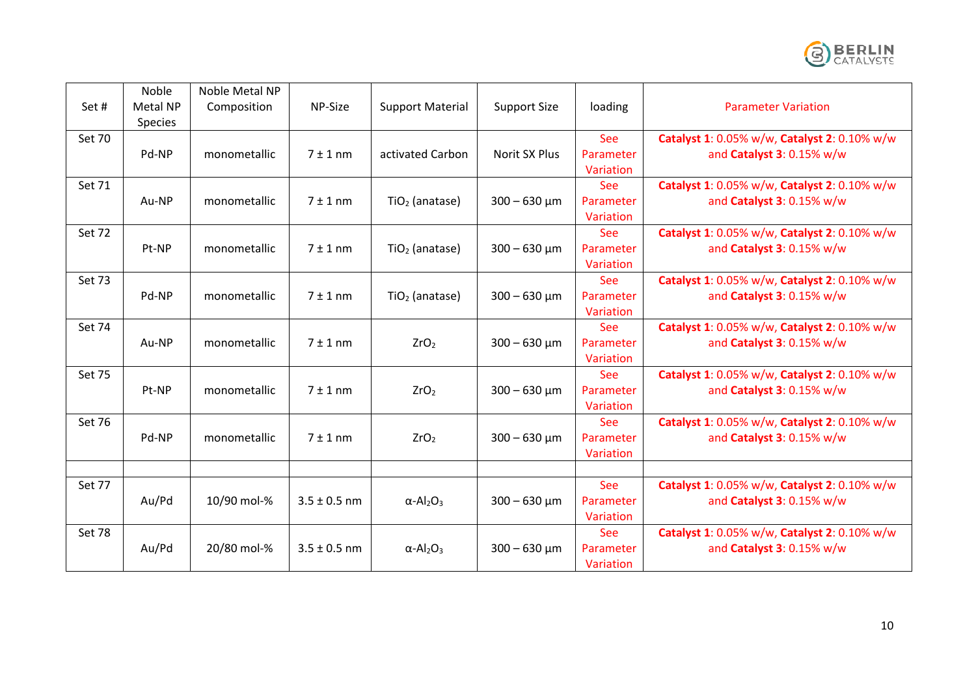

| Set#          | Noble<br>Metal NP<br><b>Species</b> | Noble Metal NP<br>Composition | NP-Size          | <b>Support Material</b>                  | <b>Support Size</b> | loading                              | <b>Parameter Variation</b>                                                |
|---------------|-------------------------------------|-------------------------------|------------------|------------------------------------------|---------------------|--------------------------------------|---------------------------------------------------------------------------|
| Set 70        | Pd-NP                               | monometallic                  | $7 \pm 1$ nm     | activated Carbon                         | Norit SX Plus       | See<br>Parameter<br>Variation        | Catalyst 1: 0.05% w/w, Catalyst 2: 0.10% w/w<br>and Catalyst 3: 0.15% w/w |
| Set 71        | Au-NP                               | monometallic                  | $7 \pm 1$ nm     | $TiO2$ (anatase)                         | $300 - 630 \mu m$   | See<br>Parameter<br>Variation        | Catalyst 1: 0.05% w/w, Catalyst 2: 0.10% w/w<br>and Catalyst 3: 0.15% w/w |
| Set 72        | Pt-NP                               | monometallic                  | $7 \pm 1$ nm     | $TiO2$ (anatase)                         | $300 - 630 \mu m$   | <b>See</b><br>Parameter<br>Variation | Catalyst 1: 0.05% w/w, Catalyst 2: 0.10% w/w<br>and Catalyst 3: 0.15% w/w |
| Set 73        | Pd-NP                               | monometallic                  | $7 \pm 1$ nm     | $TiO2$ (anatase)                         | $300 - 630 \mu m$   | <b>See</b><br>Parameter<br>Variation | Catalyst 1: 0.05% w/w, Catalyst 2: 0.10% w/w<br>and Catalyst 3: 0.15% w/w |
| Set 74        | Au-NP                               | monometallic                  | $7 \pm 1$ nm     | ZrO <sub>2</sub>                         | $300 - 630 \mu m$   | <b>See</b><br>Parameter<br>Variation | Catalyst 1: 0.05% w/w, Catalyst 2: 0.10% w/w<br>and Catalyst 3: 0.15% w/w |
| Set 75        | Pt-NP                               | monometallic                  | $7 \pm 1$ nm     | ZrO <sub>2</sub>                         | $300 - 630 \mu m$   | See<br>Parameter<br>Variation        | Catalyst 1: 0.05% w/w, Catalyst 2: 0.10% w/w<br>and Catalyst 3: 0.15% w/w |
| <b>Set 76</b> | Pd-NP                               | monometallic                  | $7±1$ nm         | ZrO <sub>2</sub>                         | $300 - 630 \mu m$   | <b>See</b><br>Parameter<br>Variation | Catalyst 1: 0.05% w/w, Catalyst 2: 0.10% w/w<br>and Catalyst 3: 0.15% w/w |
|               |                                     |                               |                  |                                          |                     |                                      |                                                                           |
| Set 77        | Au/Pd                               | 10/90 mol-%                   | $3.5 \pm 0.5$ nm | $\alpha$ -Al <sub>2</sub> O <sub>3</sub> | $300 - 630 \mu m$   | See<br>Parameter<br>Variation        | Catalyst 1: 0.05% w/w, Catalyst 2: 0.10% w/w<br>and Catalyst 3: 0.15% w/w |
| Set 78        | Au/Pd                               | 20/80 mol-%                   | $3.5 \pm 0.5$ nm | $\alpha$ -Al <sub>2</sub> O <sub>3</sub> | $300 - 630 \mu m$   | See<br>Parameter<br>Variation        | Catalyst 1: 0.05% w/w, Catalyst 2: 0.10% w/w<br>and Catalyst 3: 0.15% w/w |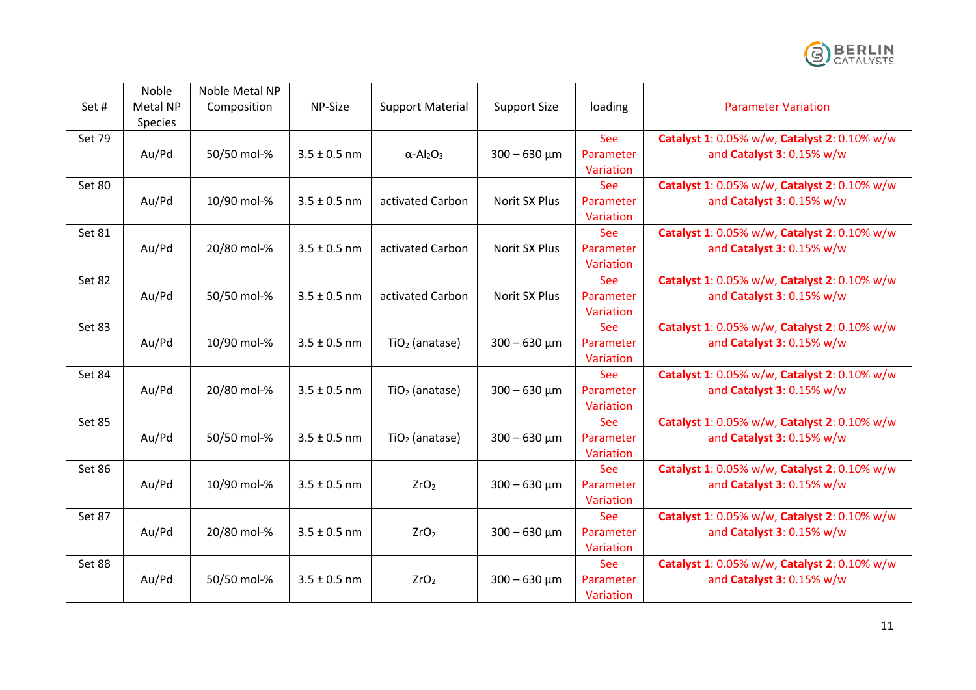

|               | Noble    | Noble Metal NP |                  |                                          |                     |            |                                              |
|---------------|----------|----------------|------------------|------------------------------------------|---------------------|------------|----------------------------------------------|
| Set#          | Metal NP | Composition    | NP-Size          | <b>Support Material</b>                  | <b>Support Size</b> | loading    | <b>Parameter Variation</b>                   |
|               | Species  |                |                  |                                          |                     |            |                                              |
| <b>Set 79</b> |          |                |                  |                                          |                     | See        | Catalyst 1: 0.05% w/w, Catalyst 2: 0.10% w/w |
|               | Au/Pd    | 50/50 mol-%    | $3.5 \pm 0.5$ nm | $\alpha$ -Al <sub>2</sub> O <sub>3</sub> | $300 - 630 \mu m$   | Parameter  | and Catalyst 3: 0.15% w/w                    |
|               |          |                |                  |                                          |                     | Variation  |                                              |
| Set 80        |          |                |                  |                                          |                     | See        | Catalyst 1: 0.05% w/w, Catalyst 2: 0.10% w/w |
|               | Au/Pd    | 10/90 mol-%    | $3.5 \pm 0.5$ nm | activated Carbon                         | Norit SX Plus       | Parameter  | and Catalyst 3: 0.15% w/w                    |
|               |          |                |                  |                                          |                     | Variation  |                                              |
| Set 81        |          |                |                  |                                          |                     | See        | Catalyst 1: 0.05% w/w, Catalyst 2: 0.10% w/w |
|               | Au/Pd    | 20/80 mol-%    | $3.5 \pm 0.5$ nm | activated Carbon                         | Norit SX Plus       | Parameter  | and Catalyst 3: 0.15% w/w                    |
|               |          |                |                  |                                          |                     | Variation  |                                              |
| Set 82        |          |                |                  |                                          |                     | <b>See</b> | Catalyst 1: 0.05% w/w, Catalyst 2: 0.10% w/w |
|               | Au/Pd    | 50/50 mol-%    | $3.5 \pm 0.5$ nm | activated Carbon                         | Norit SX Plus       | Parameter  | and Catalyst 3: 0.15% w/w                    |
|               |          |                |                  |                                          |                     | Variation  |                                              |
| Set 83        |          |                |                  |                                          |                     | <b>See</b> | Catalyst 1: 0.05% w/w, Catalyst 2: 0.10% w/w |
|               | Au/Pd    | 10/90 mol-%    | $3.5 \pm 0.5$ nm | $TiO2$ (anatase)                         | $300 - 630 \mu m$   | Parameter  | and Catalyst 3: 0.15% w/w                    |
|               |          |                |                  |                                          |                     | Variation  |                                              |
| Set 84        |          |                |                  |                                          |                     | See        | Catalyst 1: 0.05% w/w, Catalyst 2: 0.10% w/w |
|               | Au/Pd    | 20/80 mol-%    | $3.5 \pm 0.5$ nm | $TiO2$ (anatase)                         | $300 - 630 \mu m$   | Parameter  | and Catalyst 3: 0.15% w/w                    |
|               |          |                |                  |                                          |                     | Variation  |                                              |
| Set 85        |          |                |                  |                                          |                     | <b>See</b> | Catalyst 1: 0.05% w/w, Catalyst 2: 0.10% w/w |
|               | Au/Pd    | 50/50 mol-%    | $3.5 \pm 0.5$ nm | $TiO2$ (anatase)                         | $300 - 630 \mu m$   | Parameter  | and Catalyst 3: 0.15% w/w                    |
|               |          |                |                  |                                          |                     | Variation  |                                              |
| Set 86        |          |                |                  |                                          |                     | See        | Catalyst 1: 0.05% w/w, Catalyst 2: 0.10% w/w |
|               | Au/Pd    | 10/90 mol-%    | $3.5 \pm 0.5$ nm | ZrO <sub>2</sub>                         | $300 - 630 \mu m$   | Parameter  | and Catalyst 3: 0.15% w/w                    |
|               |          |                |                  |                                          |                     | Variation  |                                              |
| Set 87        |          |                |                  |                                          |                     | <b>See</b> | Catalyst 1: 0.05% w/w, Catalyst 2: 0.10% w/w |
|               | Au/Pd    | 20/80 mol-%    | $3.5 \pm 0.5$ nm | ZrO <sub>2</sub>                         | $300 - 630 \mu m$   | Parameter  | and Catalyst 3: 0.15% w/w                    |
|               |          |                |                  |                                          |                     | Variation  |                                              |
| Set 88        |          |                |                  |                                          |                     | See        | Catalyst 1: 0.05% w/w, Catalyst 2: 0.10% w/w |
|               | Au/Pd    | 50/50 mol-%    | $3.5 \pm 0.5$ nm | ZrO <sub>2</sub>                         | $300 - 630 \mu m$   | Parameter  | and Catalyst 3: 0.15% w/w                    |
|               |          |                |                  |                                          |                     | Variation  |                                              |